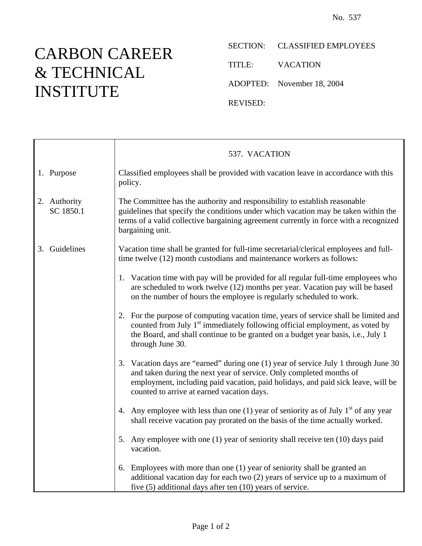## CARBON CAREER & TECHNICAL INSTITUTE

Ē

SECTION: CLASSIFIED EMPLOYEES

TITLE: VACATION

ADOPTED: November 18, 2004

REVISED:

|                           | 537. VACATION                                                                                                                                                                                                                                                                                |
|---------------------------|----------------------------------------------------------------------------------------------------------------------------------------------------------------------------------------------------------------------------------------------------------------------------------------------|
| 1. Purpose                | Classified employees shall be provided with vacation leave in accordance with this<br>policy.                                                                                                                                                                                                |
| 2. Authority<br>SC 1850.1 | The Committee has the authority and responsibility to establish reasonable<br>guidelines that specify the conditions under which vacation may be taken within the<br>terms of a valid collective bargaining agreement currently in force with a recognized<br>bargaining unit.               |
| 3. Guidelines             | Vacation time shall be granted for full-time secretarial/clerical employees and full-<br>time twelve (12) month custodians and maintenance workers as follows:                                                                                                                               |
|                           | 1. Vacation time with pay will be provided for all regular full-time employees who<br>are scheduled to work twelve (12) months per year. Vacation pay will be based<br>on the number of hours the employee is regularly scheduled to work.                                                   |
|                           | 2. For the purpose of computing vacation time, years of service shall be limited and<br>counted from July 1 <sup>st</sup> immediately following official employment, as voted by<br>the Board, and shall continue to be granted on a budget year basis, i.e., July 1<br>through June 30.     |
|                           | 3. Vacation days are "earned" during one (1) year of service July 1 through June 30<br>and taken during the next year of service. Only completed months of<br>employment, including paid vacation, paid holidays, and paid sick leave, will be<br>counted to arrive at earned vacation days. |
|                           | 4. Any employee with less than one (1) year of seniority as of July $1st$ of any year<br>shall receive vacation pay prorated on the basis of the time actually worked.                                                                                                                       |
|                           | 5. Any employee with one (1) year of seniority shall receive ten (10) days paid<br>vacation.                                                                                                                                                                                                 |
|                           | 6. Employees with more than one (1) year of seniority shall be granted an<br>additional vacation day for each two (2) years of service up to a maximum of<br>five $(5)$ additional days after ten $(10)$ years of service.                                                                   |